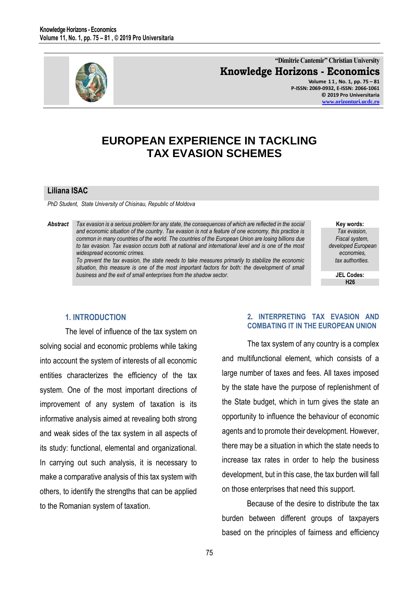

**"Dimitrie Cantemir" Christian University Knowledge Horizons - Economics Volume 1 1 , No. 1, pp. 75 – 81 P-ISSN: 2069-0932, E-ISSN: 2066-1061**

**© 2019 Pro Universitaria [www.orizonturi.ucdc.ro](http://www.orizonturi.ucdc.ro/)**

# **EUROPEAN EXPERIENCE IN TACKLING TAX EVASION SCHEMES**

#### **Liliana ISAC**

*PhD Student, State University of Chisinau, Republic of Moldova*

*Abstract Tax evasion is a serious problem for any state, the consequences of which are reflected in the social and economic situation of the country. Tax evasion is not a feature of one economy, this practice is common in many countries of the world. The countries of the European Union are losing billions due to tax evasion. Tax evasion occurs both at national and international level and is one of the most widespread economic crimes.*

> *To prevent the tax evasion, the state needs to take measures primarily to stabilize the economic*  situation, this measure is one of the most important factors for both: the development of small *business and the exit of small enterprises from the shadow sector.*

**Key words:** *Tax evasion, Fiscal system, developed European economies, tax authorities.*

> **JEL Codes: H26**

## **1. INTRODUCTION**

The level of influence of the tax system on solving social and economic problems while taking into account the system of interests of all economic entities characterizes the efficiency of the tax system. One of the most important directions of improvement of any system of taxation is its informative analysis aimed at revealing both strong and weak sides of the tax system in all aspects of its study: functional, elemental and organizational. In carrying out such analysis, it is necessary to make a comparative analysis of this tax system with others, to identify the strengths that can be applied to the Romanian system of taxation.

#### **2. INTERPRETING TAX EVASION AND COMBATING IT IN THE EUROPEAN UNION**

The tax system of any country is a complex and multifunctional element, which consists of a large number of taxes and fees. All taxes imposed by the state have the purpose of replenishment of the State budget, which in turn gives the state an opportunity to influence the behaviour of economic agents and to promote their development. However, there may be a situation in which the state needs to increase tax rates in order to help the business development, but in this case, the tax burden will fall on those enterprises that need this support.

Because of the desire to distribute the tax burden between different groups of taxpayers based on the principles of fairness and efficiency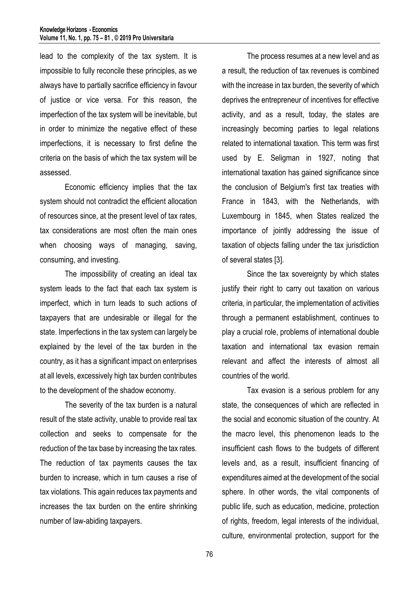lead to the complexity of the tax system. It is impossible to fully reconcile these principles, as we always have to partially sacrifice efficiency in favour of justice or vice versa. For this reason, the imperfection of the tax system will be inevitable, but in order to minimize the negative effect of these imperfections, it is necessary to first define the criteria on the basis of which the tax system will be assessed.

Economic efficiency implies that the tax system should not contradict the efficient allocation of resources since, at the present level of tax rates, tax considerations are most often the main ones when choosing ways of managing, saving, consuming, and investing.

The impossibility of creating an ideal tax system leads to the fact that each tax system is imperfect, which in turn leads to such actions of taxpayers that are undesirable or illegal for the state. Imperfections in the tax system can largely be explained by the level of the tax burden in the country, as it has a significant impact on enterprises at all levels, excessively high tax burden contributes to the development of the shadow economy.

The severity of the tax burden is a natural result of the state activity, unable to provide real tax collection and seeks to compensate for the reduction of the tax base by increasing the tax rates. The reduction of tax payments causes the tax burden to increase, which in turn causes a rise of tax violations. This again reduces tax payments and increases the tax burden on the entire shrinking number of law-abiding taxpayers.

The process resumes at a new level and as a result, the reduction of tax revenues is combined with the increase in tax burden, the severity of which deprives the entrepreneur of incentives for effective activity, and as a result, today, the states are increasingly becoming parties to legal relations related to international taxation. This term was first used by E. Seligman in 1927, noting that international taxation has gained significance since the conclusion of Belgium's first tax treaties with France in 1843, with the Netherlands, with Luxembourg in 1845, when States realized the importance of jointly addressing the issue of taxation of objects falling under the tax jurisdiction of several states [3].

Since the tax sovereignty by which states justify their right to carry out taxation on various criteria, in particular, the implementation of activities through a permanent establishment, continues to play a crucial role, problems of international double taxation and international tax evasion remain relevant and affect the interests of almost all countries of the world.

Tax evasion is a serious problem for any state, the consequences of which are reflected in the social and economic situation of the country. At the macro level, this phenomenon leads to the insufficient cash flows to the budgets of different levels and, as a result, insufficient financing of expenditures aimed at the development of the social sphere. In other words, the vital components of public life, such as education, medicine, protection of rights, freedom, legal interests of the individual, culture, environmental protection, support for the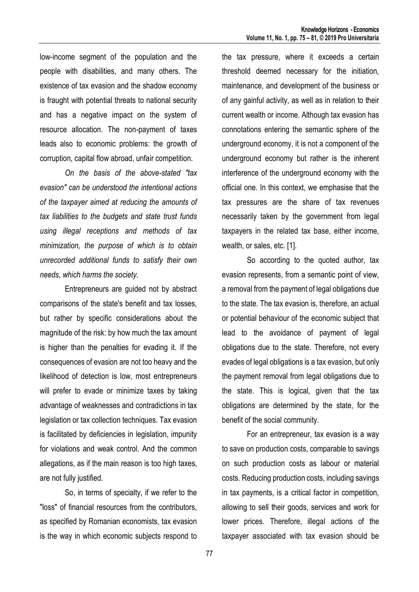low-income segment of the population and the people with disabilities, and many others. The existence of tax evasion and the shadow economy is fraught with potential threats to national security and has a negative impact on the system of resource allocation. The non-payment of taxes leads also to economic problems: the growth of corruption, capital flow abroad, unfair competition.

*On the basis of the above-stated "tax evasion" can be understood the intentional actions of the taxpayer aimed at reducing the amounts of tax liabilities to the budgets and state trust funds using illegal receptions and methods of tax minimization, the purpose of which is to obtain unrecorded additional funds to satisfy their own needs, which harms the society.*

Entrepreneurs are guided not by abstract comparisons of the state's benefit and tax losses, but rather by specific considerations about the magnitude of the risk: by how much the tax amount is higher than the penalties for evading it. If the consequences of evasion are not too heavy and the likelihood of detection is low, most entrepreneurs will prefer to evade or minimize taxes by taking advantage of weaknesses and contradictions in tax legislation or tax collection techniques. Tax evasion is facilitated by deficiencies in legislation, impunity for violations and weak control. And the common allegations, as if the main reason is too high taxes, are not fully justified.

So, in terms of specialty, if we refer to the "loss" of financial resources from the contributors, as specified by Romanian economists, tax evasion is the way in which economic subjects respond to the tax pressure, where it exceeds a certain threshold deemed necessary for the initiation, maintenance, and development of the business or of any gainful activity, as well as in relation to their current wealth or income. Although tax evasion has connotations entering the semantic sphere of the underground economy, it is not a component of the underground economy but rather is the inherent interference of the underground economy with the official one. In this context, we emphasise that the tax pressures are the share of tax revenues necessarily taken by the government from legal taxpayers in the related tax base, either income, wealth, or sales, etc. [1].

So according to the quoted author, tax evasion represents, from a semantic point of view, a removal from the payment of legal obligations due to the state. The tax evasion is, therefore, an actual or potential behaviour of the economic subject that lead to the avoidance of payment of legal obligations due to the state. Therefore, not every evades of legal obligations is a tax evasion, but only the payment removal from legal obligations due to the state. This is logical, given that the tax obligations are determined by the state, for the benefit of the social community.

For an entrepreneur, tax evasion is a way to save on production costs, comparable to savings on such production costs as labour or material costs. Reducing production costs, including savings in tax payments, is a critical factor in competition, allowing to sell their goods, services and work for lower prices. Therefore, illegal actions of the taxpayer associated with tax evasion should be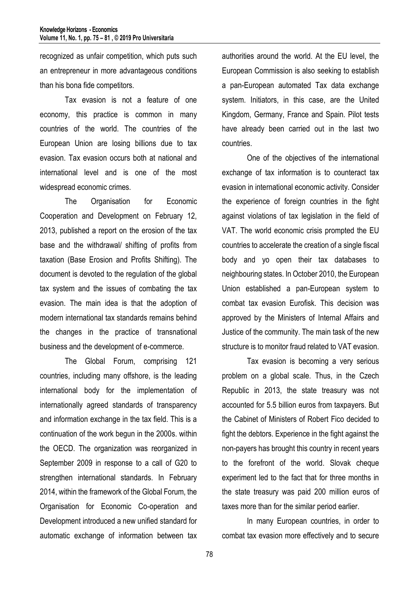recognized as unfair competition, which puts such an entrepreneur in more advantageous conditions than his bona fide competitors.

Tax evasion is not a feature of one economy, this practice is common in many countries of the world. The countries of the European Union are losing billions due to tax evasion. Tax evasion occurs both at national and international level and is one of the most widespread economic crimes.

The Organisation for Economic Cooperation and Development on February 12, 2013, published a report on the erosion of the tax base and the withdrawal/ shifting of profits from taxation (Base Erosion and Profits Shifting). The document is devoted to the regulation of the global tax system and the issues of combating the tax evasion. The main idea is that the adoption of modern international tax standards remains behind the changes in the practice of transnational business and the development of e-commerce.

The Global Forum, comprising 121 countries, including many offshore, is the leading international body for the implementation of internationally agreed standards of transparency and information exchange in the tax field. This is a continuation of the work begun in the 2000s. within the OECD. The organization was reorganized in September 2009 in response to a call of G20 to strengthen international standards. In February 2014, within the framework of the Global Forum, the Organisation for Economic Co-operation and Development introduced a new unified standard for automatic exchange of information between tax

authorities around the world. At the EU level, the European Commission is also seeking to establish a pan-European automated Tax data exchange system. Initiators, in this case, are the United Kingdom, Germany, France and Spain. Pilot tests have already been carried out in the last two countries.

One of the objectives of the international exchange of tax information is to counteract tax evasion in international economic activity. Consider the experience of foreign countries in the fight against violations of tax legislation in the field of VAT. The world economic crisis prompted the EU countries to accelerate the creation of a single fiscal body and yo open their tax databases to neighbouring states. In October 2010, the European Union established a pan-European system to combat tax evasion Eurofisk. This decision was approved by the Ministers of Internal Affairs and Justice of the community. The main task of the new structure is to monitor fraud related to VAT evasion.

Tax evasion is becoming a very serious problem on a global scale. Thus, in the Czech Republic in 2013, the state treasury was not accounted for 5.5 billion euros from taxpayers. But the Cabinet of Ministers of Robert Fico decided to fight the debtors. Experience in the fight against the non-payers has brought this country in recent years to the forefront of the world. Slovak cheque experiment led to the fact that for three months in the state treasury was paid 200 million euros of taxes more than for the similar period earlier.

In many European countries, in order to combat tax evasion more effectively and to secure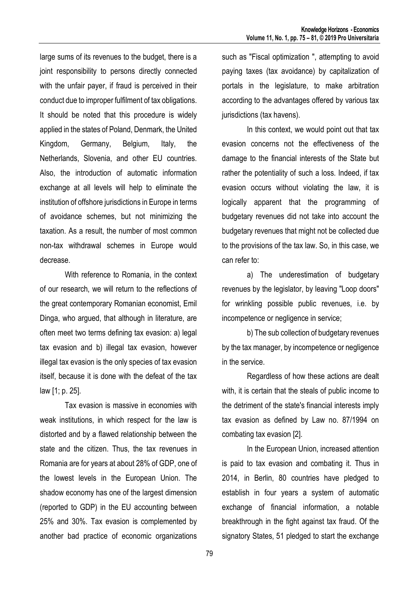large sums of its revenues to the budget, there is a joint responsibility to persons directly connected with the unfair payer, if fraud is perceived in their conduct due to improper fulfilment of tax obligations. It should be noted that this procedure is widely applied in the states of Poland, Denmark, the United Kingdom, Germany, Belgium, Italy, the Netherlands, Slovenia, and other EU countries. Also, the introduction of automatic information exchange at all levels will help to eliminate the institution of offshore jurisdictions in Europe in terms of avoidance schemes, but not minimizing the taxation. As a result, the number of most common non-tax withdrawal schemes in Europe would decrease.

With reference to Romania, in the context of our research, we will return to the reflections of the great contemporary Romanian economist, Emil Dinga, who argued, that although in literature, are often meet two terms defining tax evasion: a) legal tax evasion and b) illegal tax evasion, however illegal tax evasion is the only species of tax evasion itself, because it is done with the defeat of the tax law [1; p. 25].

Tax evasion is massive in economies with weak institutions, in which respect for the law is distorted and by a flawed relationship between the state and the citizen. Thus, the tax revenues in Romania are for years at about 28% of GDP, one of the lowest levels in the European Union. The shadow economy has one of the largest dimension (reported to GDP) in the EU accounting between 25% and 30%. Tax evasion is complemented by another bad practice of economic organizations

such as "Fiscal optimization ", attempting to avoid paying taxes (tax avoidance) by capitalization of portals in the legislature, to make arbitration according to the advantages offered by various tax jurisdictions (tax havens).

In this context, we would point out that tax evasion concerns not the effectiveness of the damage to the financial interests of the State but rather the potentiality of such a loss. Indeed, if tax evasion occurs without violating the law, it is logically apparent that the programming of budgetary revenues did not take into account the budgetary revenues that might not be collected due to the provisions of the tax law. So, in this case, we can refer to:

a) The underestimation of budgetary revenues by the legislator, by leaving "Loop doors" for wrinkling possible public revenues, i.e. by incompetence or negligence in service;

b) The sub collection of budgetary revenues by the tax manager, by incompetence or negligence in the service.

Regardless of how these actions are dealt with, it is certain that the steals of public income to the detriment of the state's financial interests imply tax evasion as defined by Law no. 87/1994 on combating tax evasion [2].

In the European Union, increased attention is paid to tax evasion and combating it. Thus in 2014, in Berlin, 80 countries have pledged to establish in four years a system of automatic exchange of financial information, a notable breakthrough in the fight against tax fraud. Of the signatory States, 51 pledged to start the exchange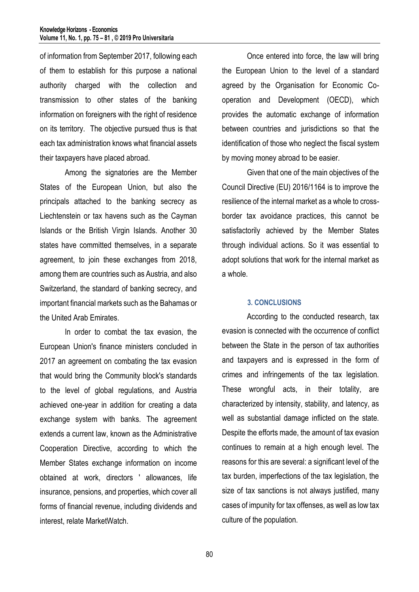of information from September 2017, following each of them to establish for this purpose a national authority charged with the collection and transmission to other states of the banking information on foreigners with the right of residence on its territory. The objective pursued thus is that each tax administration knows what financial assets their taxpayers have placed abroad.

Among the signatories are the Member States of the European Union, but also the principals attached to the banking secrecy as Liechtenstein or tax havens such as the Cayman Islands or the British Virgin Islands. Another 30 states have committed themselves, in a separate agreement, to join these exchanges from 2018, among them are countries such as Austria, and also Switzerland, the standard of banking secrecy, and important financial markets such as the Bahamas or the United Arab Emirates.

In order to combat the tax evasion, the European Union's finance ministers concluded in 2017 an agreement on combating the tax evasion that would bring the Community block's standards to the level of global regulations, and Austria achieved one-year in addition for creating a data exchange system with banks. The agreement extends a current law, known as the Administrative Cooperation Directive, according to which the Member States exchange information on income obtained at work, directors ' allowances, life insurance, pensions, and properties, which cover all forms of financial revenue, including dividends and interest, relate MarketWatch.

Once entered into force, the law will bring the European Union to the level of a standard agreed by the Organisation for Economic Cooperation and Development (OECD), which provides the automatic exchange of information between countries and jurisdictions so that the identification of those who neglect the fiscal system by moving money abroad to be easier.

Given that one of the main objectives of the Council Directive (EU) 2016/1164 is to improve the resilience of the internal market as a whole to crossborder tax avoidance practices, this cannot be satisfactorily achieved by the Member States through individual actions. So it was essential to adopt solutions that work for the internal market as a whole.

## **3. CONCLUSIONS**

According to the conducted research, tax evasion is connected with the occurrence of conflict between the State in the person of tax authorities and taxpayers and is expressed in the form of crimes and infringements of the tax legislation. These wrongful acts, in their totality, are characterized by intensity, stability, and latency, as well as substantial damage inflicted on the state. Despite the efforts made, the amount of tax evasion continues to remain at a high enough level. The reasons for this are several: a significant level of the tax burden, imperfections of the tax legislation, the size of tax sanctions is not always justified, many cases of impunity for tax offenses, as well as low tax culture of the population.